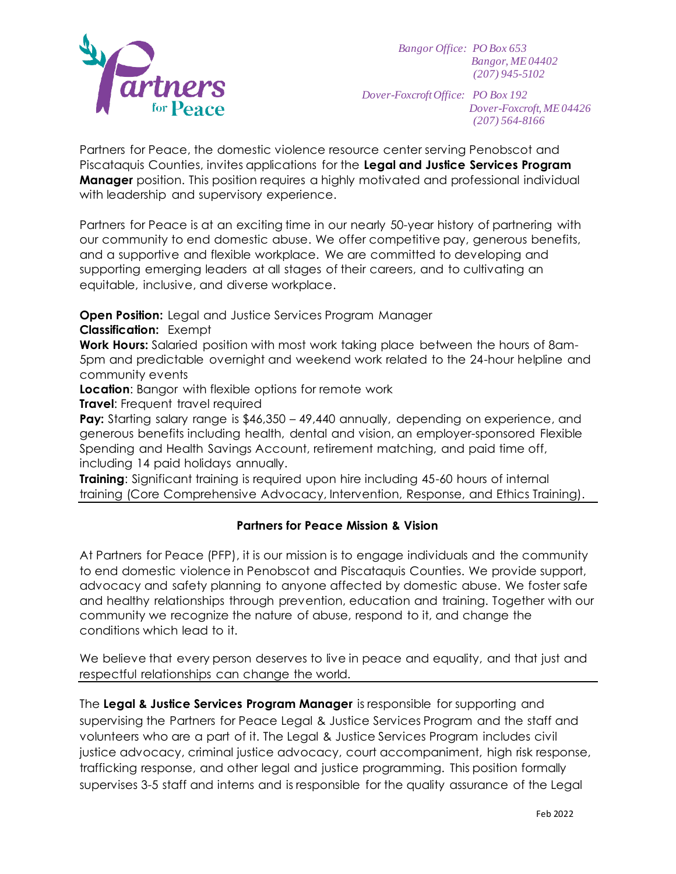

*Bangor Office: PO Box 653 Bangor, ME 04402 (207) 945-5102*

*Dover-FoxcroftOffice: PO Box 192 Dover-Foxcroft, ME 04426 (207) 564-8166*

Partners for Peace, the domestic violence resource center serving Penobscot and Piscataquis Counties, invites applications for the **Legal and Justice Services Program Manager** position. This position requires a highly motivated and professional individual with leadership and supervisory experience.

Partners for Peace is at an exciting time in our nearly 50-year history of partnering with our community to end domestic abuse. We offer competitive pay, generous benefits, and a supportive and flexible workplace. We are committed to developing and supporting emerging leaders at all stages of their careers, and to cultivating an equitable, inclusive, and diverse workplace.

**Open Position:** Legal and Justice Services Program Manager **Classification:** Exempt

**Work Hours:** Salaried position with most work taking place between the hours of 8am-5pm and predictable overnight and weekend work related to the 24-hour helpline and community events

**Location:** Bangor with flexible options for remote work

**Travel:** Frequent travel required

**Pay:** Starting salary range is \$46,350 – 49,440 annually, depending on experience, and generous benefits including health, dental and vision, an employer-sponsored Flexible Spending and Health Savings Account, retirement matching, and paid time off, including 14 paid holidays annually.

**Training**: Significant training is required upon hire including 45-60 hours of internal training (Core Comprehensive Advocacy, Intervention, Response, and Ethics Training).

## **Partners for Peace Mission & Vision**

At Partners for Peace (PFP), it is our mission is to engage individuals and the community to end domestic violence in Penobscot and Piscataquis Counties. We provide support, advocacy and safety planning to anyone affected by domestic abuse. We foster safe and healthy relationships through prevention, education and training. Together with our community we recognize the nature of abuse, respond to it, and change the conditions which lead to it.

We believe that every person deserves to live in peace and equality, and that just and respectful relationships can change the world.

The **Legal & Justice Services Program Manager** is responsible for supporting and supervising the Partners for Peace Legal & Justice Services Program and the staff and volunteers who are a part of it. The Legal & Justice Services Program includes civil justice advocacy, criminal justice advocacy, court accompaniment, high risk response, trafficking response, and other legal and justice programming. This position formally supervises 3-5 staff and interns and is responsible for the quality assurance of the Legal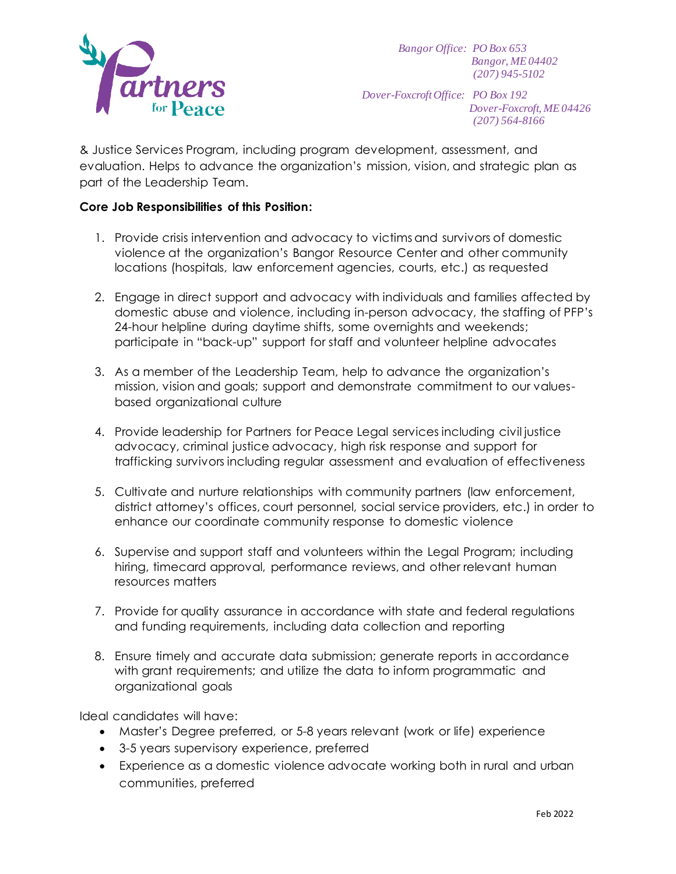

*Bangor Office: PO Box 653 Bangor, ME 04402 (207) 945-5102*

*Dover-FoxcroftOffice: PO Box 192 Dover-Foxcroft, ME 04426 (207) 564-8166*

& Justice Services Program, including program development, assessment, and evaluation. Helps to advance the organization's mission, vision, and strategic plan as part of the Leadership Team.

## **Core Job Responsibilities of this Position:**

- 1. Provide crisis intervention and advocacy to victims and survivors of domestic violence at the organization's Bangor Resource Center and other community locations (hospitals, law enforcement agencies, courts, etc.) as requested
- 2. Engage in direct support and advocacy with individuals and families affected by domestic abuse and violence, including in-person advocacy, the staffing of PFP's 24-hour helpline during daytime shifts, some overnights and weekends; participate in "back-up" support for staff and volunteer helpline advocates
- 3. As a member of the Leadership Team, help to advance the organization's mission, vision and goals; support and demonstrate commitment to our valuesbased organizational culture
- 4. Provide leadership for Partners for Peace Legal services including civil justice advocacy, criminal justice advocacy, high risk response and support for trafficking survivors including regular assessment and evaluation of effectiveness
- 5. Cultivate and nurture relationships with community partners (law enforcement, district attorney's offices, court personnel, social service providers, etc.) in order to enhance our coordinate community response to domestic violence
- 6. Supervise and support staff and volunteers within the Legal Program; including hiring, timecard approval, performance reviews, and other relevant human resources matters
- 7. Provide for quality assurance in accordance with state and federal regulations and funding requirements, including data collection and reporting
- 8. Ensure timely and accurate data submission; generate reports in accordance with grant requirements; and utilize the data to inform programmatic and organizational goals

Ideal candidates will have:

- Master's Degree preferred, or 5-8 years relevant (work or life) experience
- 3-5 years supervisory experience, preferred
- Experience as a domestic violence advocate working both in rural and urban communities, preferred